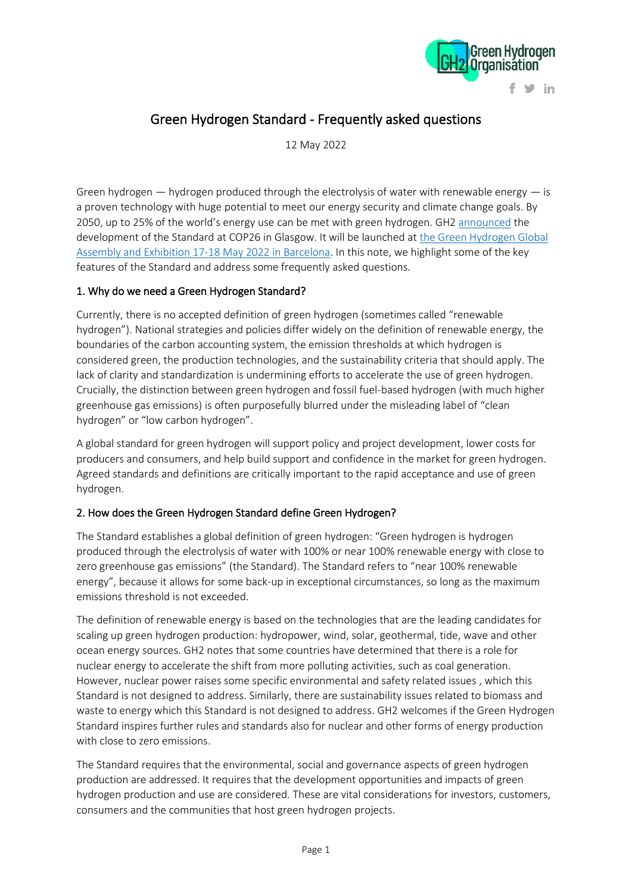

# Green Hydrogen Standard - Frequently asked questions

12 May 2022

Green hydrogen  $-$  hydrogen produced through the electrolysis of water with renewable energy  $-$  is a proven technology with huge potential to meet our energy security and climate change goals. By 2050, up to 25% of the world's energy use can be met with green hydrogen. GH2 [announced](https://gh2.org/publication/green-hydrogen-organisation-develop-green-energy-standard) the development of the Standard at COP26 in Glasgow. It will be launched at [the Green Hydrogen Global](https://gh2.org/event/global-assembly-2022)  [Assembly and Exhibition 17-18 May 2022 in Barcelona.](https://gh2.org/event/global-assembly-2022) In this note, we highlight some of the key features of the Standard and address some frequently asked questions.

## 1. Why do we need a Green Hydrogen Standard?

Currently, there is no accepted definition of green hydrogen (sometimes called "renewable hydrogen"). National strategies and policies differ widely on the definition of renewable energy, the boundaries of the carbon accounting system, the emission thresholds at which hydrogen is considered green, the production technologies, and the sustainability criteria that should apply. The lack of clarity and standardization is undermining efforts to accelerate the use of green hydrogen. Crucially, the distinction between green hydrogen and fossil fuel-based hydrogen (with much higher greenhouse gas emissions) is often purposefully blurred under the misleading label of "clean hydrogen" or "low carbon hydrogen".

A global standard for green hydrogen will support policy and project development, lower costs for producers and consumers, and help build support and confidence in the market for green hydrogen. Agreed standards and definitions are critically important to the rapid acceptance and use of green hydrogen.

## 2. How does the Green Hydrogen Standard define Green Hydrogen?

The Standard establishes a global definition of green hydrogen: "Green hydrogen is hydrogen produced through the electrolysis of water with 100% or near 100% renewable energy with close to zero greenhouse gas emissions" (the Standard). The Standard refers to "near 100% renewable energy", because it allows for some back-up in exceptional circumstances, so long as the maximum emissions threshold is not exceeded.

The definition of renewable energy is based on the technologies that are the leading candidates for scaling up green hydrogen production: hydropower, wind, solar, geothermal, tide, wave and other ocean energy sources. GH2 notes that some countries have determined that there is a role for nuclear energy to accelerate the shift from more polluting activities, such as coal generation. However, nuclear power raises some specific environmental and safety related issues , which this Standard is not designed to address. Similarly, there are sustainability issues related to biomass and waste to energy which this Standard is not designed to address. GH2 welcomes if the Green Hydrogen Standard inspires further rules and standards also for nuclear and other forms of energy production with close to zero emissions.

The Standard requires that the environmental, social and governance aspects of green hydrogen production are addressed. It requires that the development opportunities and impacts of green hydrogen production and use are considered. These are vital considerations for investors, customers, consumers and the communities that host green hydrogen projects.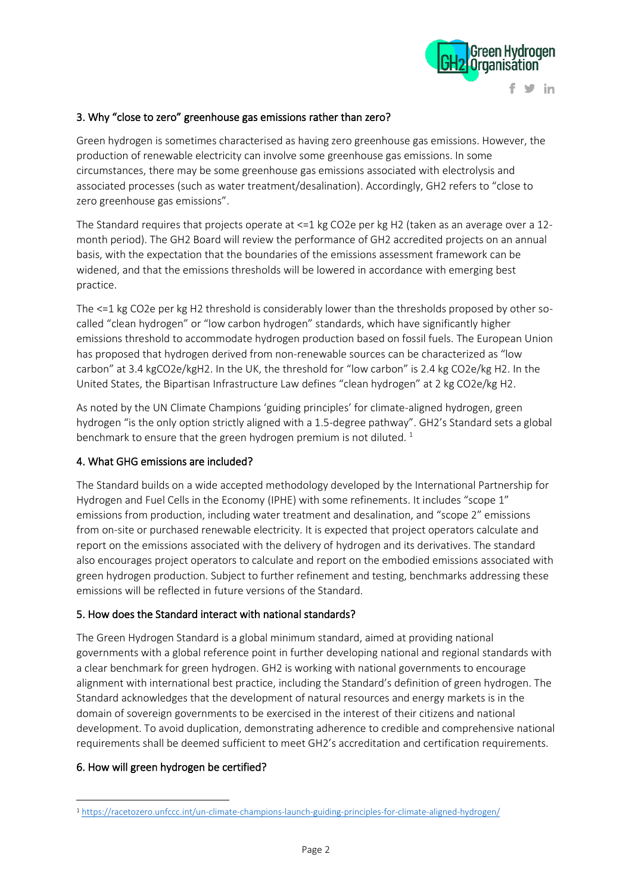

#### 3. Why "close to zero" greenhouse gas emissions rather than zero?

Green hydrogen is sometimes characterised as having zero greenhouse gas emissions. However, the production of renewable electricity can involve some greenhouse gas emissions. In some circumstances, there may be some greenhouse gas emissions associated with electrolysis and associated processes (such as water treatment/desalination). Accordingly, GH2 refers to "close to zero greenhouse gas emissions".

The Standard requires that projects operate at <=1 kg CO2e per kg H2 (taken as an average over a 12 month period). The GH2 Board will review the performance of GH2 accredited projects on an annual basis, with the expectation that the boundaries of the emissions assessment framework can be widened, and that the emissions thresholds will be lowered in accordance with emerging best practice.

The <=1 kg CO2e per kg H2 threshold is considerably lower than the thresholds proposed by other socalled "clean hydrogen" or "low carbon hydrogen" standards, which have significantly higher emissions threshold to accommodate hydrogen production based on fossil fuels. The European Union has proposed that hydrogen derived from non-renewable sources can be characterized as "low carbon" at 3.4 kgCO2e/kgH2. In the UK, the threshold for "low carbon" is 2.4 kg CO2e/kg H2. In the United States, the Bipartisan Infrastructure Law defines "clean hydrogen" at 2 kg CO2e/kg H2.

As noted by the UN Climate Champions 'guiding principles' for climate-aligned hydrogen, green hydrogen "is the only option strictly aligned with a 1.5-degree pathway". GH2's Standard sets a global benchmark to ensure that the green hydrogen premium is not diluted.<sup>1</sup>

#### 4. What GHG emissions are included?

The Standard builds on a wide accepted methodology developed by the International Partnership for Hydrogen and Fuel Cells in the Economy (IPHE) with some refinements. It includes "scope 1" emissions from production, including water treatment and desalination, and "scope 2" emissions from on-site or purchased renewable electricity. It is expected that project operators calculate and report on the emissions associated with the delivery of hydrogen and its derivatives. The standard also encourages project operators to calculate and report on the embodied emissions associated with green hydrogen production. Subject to further refinement and testing, benchmarks addressing these emissions will be reflected in future versions of the Standard.

#### 5. How does the Standard interact with national standards?

The Green Hydrogen Standard is a global minimum standard, aimed at providing national governments with a global reference point in further developing national and regional standards with a clear benchmark for green hydrogen. GH2 is working with national governments to encourage alignment with international best practice, including the Standard's definition of green hydrogen. The Standard acknowledges that the development of natural resources and energy markets is in the domain of sovereign governments to be exercised in the interest of their citizens and national development. To avoid duplication, demonstrating adherence to credible and comprehensive national requirements shall be deemed sufficient to meet GH2's accreditation and certification requirements.

## 6. How will green hydrogen be certified?

<sup>1</sup> <https://racetozero.unfccc.int/un-climate-champions-launch-guiding-principles-for-climate-aligned-hydrogen/>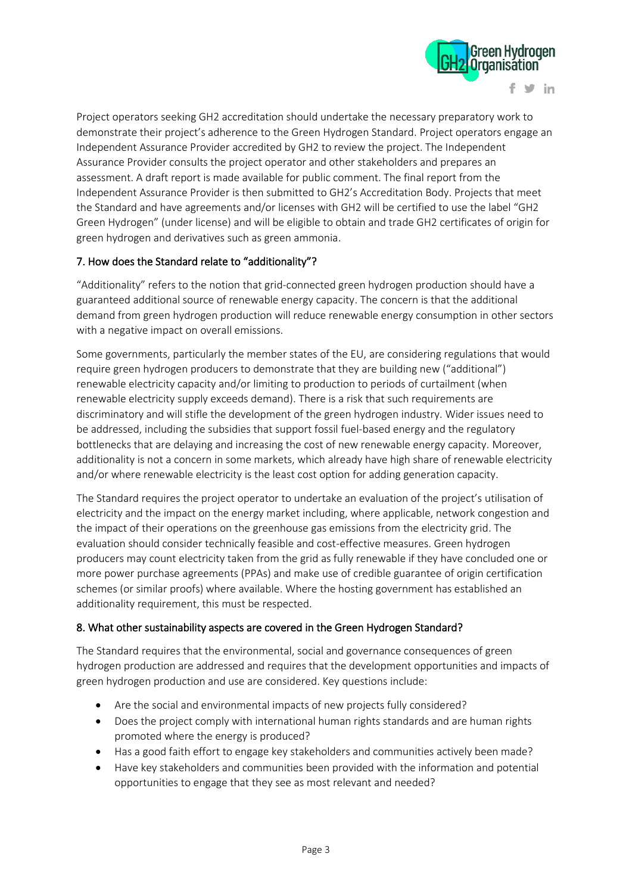

Project operators seeking GH2 accreditation should undertake the necessary preparatory work to demonstrate their project's adherence to the Green Hydrogen Standard. Project operators engage an Independent Assurance Provider accredited by GH2 to review the project. The Independent Assurance Provider consults the project operator and other stakeholders and prepares an assessment. A draft report is made available for public comment. The final report from the Independent Assurance Provider is then submitted to GH2's Accreditation Body. Projects that meet the Standard and have agreements and/or licenses with GH2 will be certified to use the label "GH2 Green Hydrogen" (under license) and will be eligible to obtain and trade GH2 certificates of origin for green hydrogen and derivatives such as green ammonia.

## 7. How does the Standard relate to "additionality"?

"Additionality" refers to the notion that grid-connected green hydrogen production should have a guaranteed additional source of renewable energy capacity. The concern is that the additional demand from green hydrogen production will reduce renewable energy consumption in other sectors with a negative impact on overall emissions.

Some governments, particularly the member states of the EU, are considering regulations that would require green hydrogen producers to demonstrate that they are building new ("additional") renewable electricity capacity and/or limiting to production to periods of curtailment (when renewable electricity supply exceeds demand). There is a risk that such requirements are discriminatory and will stifle the development of the green hydrogen industry. Wider issues need to be addressed, including the subsidies that support fossil fuel-based energy and the regulatory bottlenecks that are delaying and increasing the cost of new renewable energy capacity. Moreover, additionality is not a concern in some markets, which already have high share of renewable electricity and/or where renewable electricity is the least cost option for adding generation capacity.

The Standard requires the project operator to undertake an evaluation of the project's utilisation of electricity and the impact on the energy market including, where applicable, network congestion and the impact of their operations on the greenhouse gas emissions from the electricity grid. The evaluation should consider technically feasible and cost-effective measures. Green hydrogen producers may count electricity taken from the grid as fully renewable if they have concluded one or more power purchase agreements (PPAs) and make use of credible guarantee of origin certification schemes (or similar proofs) where available. Where the hosting government has established an additionality requirement, this must be respected.

## 8. What other sustainability aspects are covered in the Green Hydrogen Standard?

The Standard requires that the environmental, social and governance consequences of green hydrogen production are addressed and requires that the development opportunities and impacts of green hydrogen production and use are considered. Key questions include:

- Are the social and environmental impacts of new projects fully considered?
- Does the project comply with international human rights standards and are human rights promoted where the energy is produced?
- Has a good faith effort to engage key stakeholders and communities actively been made?
- Have key stakeholders and communities been provided with the information and potential opportunities to engage that they see as most relevant and needed?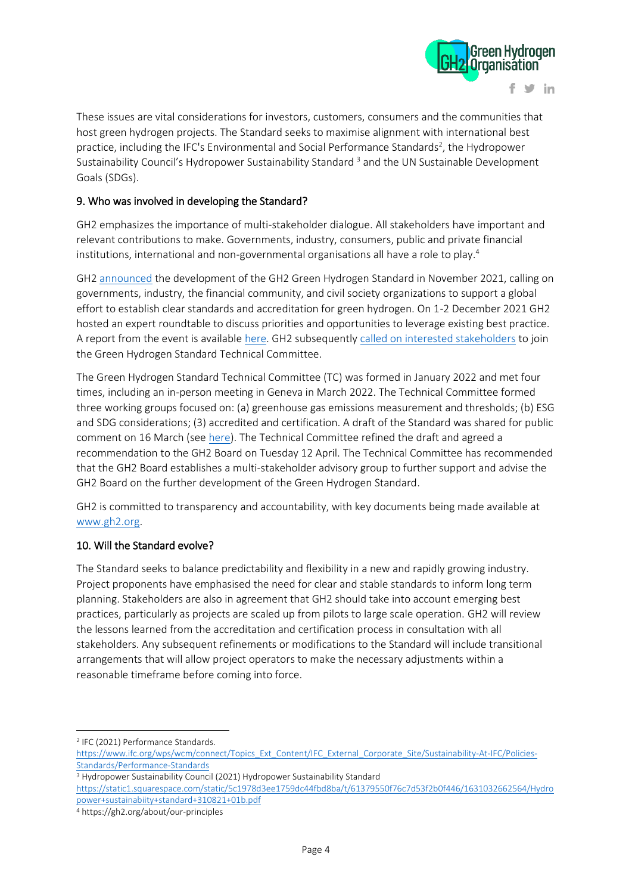

These issues are vital considerations for investors, customers, consumers and the communities that host green hydrogen projects. The Standard seeks to maximise alignment with international best practice, including the IFC's Environmental and Social Performance Standards<sup>2</sup>, the Hydropower Sustainability Council's Hydropower Sustainability Standard<sup>3</sup> and the UN Sustainable Development Goals (SDGs).

#### 9. Who was involved in developing the Standard?

GH2 emphasizes the importance of multi-stakeholder dialogue. All stakeholders have important and relevant contributions to make. Governments, industry, consumers, public and private financial institutions, international and non-governmental organisations all have a role to play.<sup>4</sup>

GH2 [announced](https://gh2.org/publication/green-hydrogen-organisation-develop-green-energy-standard) the development of the GH2 Green Hydrogen Standard in November 2021, calling on governments, industry, the financial community, and civil society organizations to support a global effort to establish clear standards and accreditation for green hydrogen. On 1-2 December 2021 GH2 hosted an expert roundtable to discuss priorities and opportunities to leverage existing best practice. A report from the event is availabl[e here.](https://gh2.org/article/report-gh2s-expert-roundtable-development-green-hydrogen-standard-1-2-december) GH2 subsequently [called on interested stakeholders](https://gh2.org/article/call-join-green-hydrogen-standard-technical-committee) to join the Green Hydrogen Standard Technical Committee.

The Green Hydrogen Standard Technical Committee (TC) was formed in January 2022 and met four times, including an in-person meeting in Geneva in March 2022. The Technical Committee formed three working groups focused on: (a) greenhouse gas emissions measurement and thresholds; (b) ESG and SDG considerations; (3) accredited and certification. A draft of the Standard was shared for public comment on 16 March (see [here\)](https://gh2.org/article/invitation-comment-draft-green-hydrogen-standard). The Technical Committee refined the draft and agreed a recommendation to the GH2 Board on Tuesday 12 April. The Technical Committee has recommended that the GH2 Board establishes a multi-stakeholder advisory group to further support and advise the GH2 Board on the further development of the Green Hydrogen Standard.

GH2 is committed to transparency and accountability, with key documents being made available at [www.gh2.org.](http://www.gh2.org/)

#### 10. Will the Standard evolve?

The Standard seeks to balance predictability and flexibility in a new and rapidly growing industry. Project proponents have emphasised the need for clear and stable standards to inform long term planning. Stakeholders are also in agreement that GH2 should take into account emerging best practices, particularly as projects are scaled up from pilots to large scale operation. GH2 will review the lessons learned from the accreditation and certification process in consultation with all stakeholders. Any subsequent refinements or modifications to the Standard will include transitional arrangements that will allow project operators to make the necessary adjustments within a reasonable timeframe before coming into force.

<sup>2</sup> IFC (2021) Performance Standards.

[https://www.ifc.org/wps/wcm/connect/Topics\\_Ext\\_Content/IFC\\_External\\_Corporate\\_Site/Sustainability-At-IFC/Policies-](https://www.ifc.org/wps/wcm/connect/Topics_Ext_Content/IFC_External_Corporate_Site/Sustainability-At-IFC/Policies-Standards/Performance-Standards)[Standards/Performance-Standards](https://www.ifc.org/wps/wcm/connect/Topics_Ext_Content/IFC_External_Corporate_Site/Sustainability-At-IFC/Policies-Standards/Performance-Standards)

<sup>3</sup> Hydropower Sustainability Council (2021) Hydropower Sustainability Standard

[https://static1.squarespace.com/static/5c1978d3ee1759dc44fbd8ba/t/61379550f76c7d53f2b0f446/1631032662564/Hydro](https://static1.squarespace.com/static/5c1978d3ee1759dc44fbd8ba/t/61379550f76c7d53f2b0f446/1631032662564/Hydropower+sustainabiity+standard+310821+01b.pdf) [power+sustainabiity+standard+310821+01b.pdf](https://static1.squarespace.com/static/5c1978d3ee1759dc44fbd8ba/t/61379550f76c7d53f2b0f446/1631032662564/Hydropower+sustainabiity+standard+310821+01b.pdf)

<sup>4</sup> https://gh2.org/about/our-principles